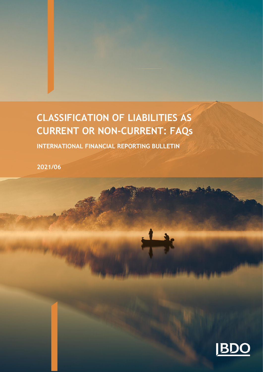# **CLASSIFICATION OF LIABILITIES AS CURRENT OR NON-CURRENT: FAQs**

**INTERNATIONAL FINANCIAL REPORTING BULLETIN** 

**2021/06**

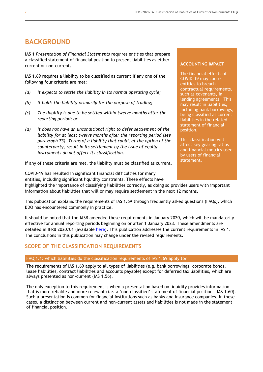## **BACKGROUND**

IAS 1 *Presentation of Financial Statements* requires entities that prepare a classified statement of financial position to present liabilities as either current or non-current.

IAS 1.69 requires a liability to be classified as current if any one of the following four criteria are met:

- *(a) It expects to settle the liability in its normal operating cycle;*
- *(b) It holds the liability primarily for the purpose of trading;*
- *(c) The liability is due to be settled within twelve months after the reporting period; or*
- *(d) It does not have an unconditional right to defer settlement of the liability for at least twelve months after the reporting period (see paragraph 73). Terms of a liability that could, at the option of the counterparty, result in its settlement by the issue of equity instruments do not affect its classification.*

If any of these criteria are met, the liability must be classified as current.

COVID-19 has resulted in significant financial difficulties for many entities, including significant liquidity constraints. These effects have

#### highlighted the importance of classifying liabilities correctly, as doing so provides users with important information about liabilities that will or may require settlement in the next 12 months.

This publication explains the requirements of IAS 1.69 through frequently asked questions (FAQs), which BDO has encountered commonly in practice.

It should be noted that the IASB amended these requirements in January 2020, which will be mandatorily effective for annual reporting periods beginning on or after 1 January 2023. These amendments are detailed in IFRB 2020/01 (available [here\)](https://www.bdo.global/en-gb/microsites/ifrs/resource-library?category=IFRbulletins&tag=all&accounting=all). This publication addresses the current requirements in IAS 1. The conclusions in this publication may change under the revised requirements.

### **SCOPE OF THE CLASSIFICATION REQUIREMENTS**

#### FAQ 1.1: which liabilities do the classification requirements of IAS 1.69 apply to?

The requirements of IAS 1.69 apply to all types of liabilities (e.g. bank borrowings, corporate bonds, lease liabilities, contract liabilities and accounts payable) except for deferred tax liabilities, which are always presented as non-current (IAS 1.56).

The only exception to this requirement is when a presentation based on liquidity provides information that is more reliable and more relevant (i.e. a 'non-classified' statement of financial position – IAS 1.60). Such a presentation is common for financial institutions such as banks and insurance companies. In these cases, a distinction between current and non-current assets and liabilities is not made in the statement of financial position.

#### **ACCOUNTING IMPACT**

The financial effects of COVID-19 may cause entities to breach contractual requirements, such as covenants, in lending agreements. This may result in liabilities, including bank borrowings, being classified as current liabilities in the related statement of financial position.

This classification will affect key gearing ratios and financial metrics used by users of financial statement.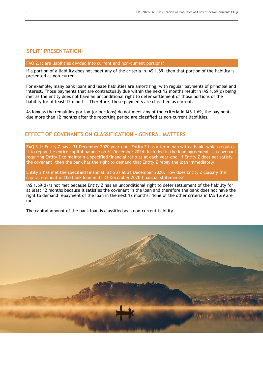### **'SPLIT' PRESENTATION**

#### FAQ 2.1: are liabilities divided into current and non-current portions?

If a portion of a liability does not meet any of the criteria in IAS 1.69, then that portion of the liability is presented as non-current.

For example, many bank loans and lease liabilities are amortising, with regular payments of principal and interest. Those payments that are contractually due within the next 12 months result in IAS 1.69(d) being met as the entity does not have an unconditional right to defer settlement of those portions of the liability for at least 12 months. Therefore, those payments are classified as current.

As long as the remaining portion (or portions) do not meet any of the criteria in IAS 1.69, the payments due more than 12 months after the reporting period are classified as non-current liabilities.

## **EFFECT OF COVENANTS ON CLASSIFICATION – GENERAL MATTERS**

FAQ 3.1: Entity Z has a 31 December 2020 year-end. Entity Z has a term loan with a bank, which requires it to repay the entire capital balance on 31 December 2024. Included in the loan agreement is a covenant requiring Entity Z to maintain a specified financial ratio as at each year-end. If Entity Z does not satisfy the covenant, then the bank has the right to demand that Entity Z repay the loan immediately.

Entity Z has met the specified financial ratio as at 31 December 2020. How does Entity Z classify the capital element of the bank loan in its 31 December 2020 financial statements?

IAS 1.69(d) is not met because Entity Z has an unconditional right to defer settlement of the liability for at least 12 months because it satisfies the covenant in the loan and therefore the bank does not have the right to demand repayment of the loan in the next 12 months. None of the other criteria in IAS 1.69 are met.

The capital amount of the bank loan is classified as a non-current liability.

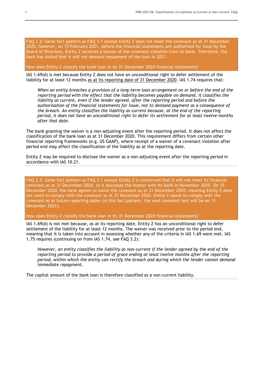FAQ 3.2: Same fact pattern as FAQ 3.1 except Entity Z does not meet the covenant as at 31 December 2020, however, on 15 February 2021, before the financial statements are authorised for issue by the Board of Directors, Entity Z receives a waiver of the covenant violation from its bank. Therefore, the bank has stated that it will not demand repayment of the loan in 2021.

How does Entity Z classify the bank loan in its 31 December 2020 financial statements?

IAS 1.69(d) is met because Entity Z does not have an unconditional right to defer settlement of the liability for at least 12 months as at its reporting date of 31 December 2020. IAS 1.74 requires that:

*When an entity breaches a provision of a long-term loan arrangement on or before the end of the reporting period with the effect that the liability becomes payable on demand, it classifies the liability as current, even if the lender agreed, after the reporting period and before the authorisation of the financial statements for issue, not to demand payment as a consequence of the breach. An entity classifies the liability as current because, at the end of the reporting period, it does not have an unconditional right to defer its settlement for at least twelve months after that date.*

The bank granting the waiver is a non-adjusting event after the reporting period. It does not affect the classification of the bank loan as at 31 December 2020. This requirement differs from certain other financial reporting frameworks (e.g. US GAAP), where receipt of a waiver of a covenant violation after period end may affect the classification of the liability as at the reporting date.

Entity Z may be required to disclose the waiver as a non-adjusting event after the reporting period in accordance with IAS 10.21.

FAQ 3.3: Same fact pattern as FAQ 3.1 except Entity Z is concerned that it will not meet its financial covenant as at 31 December 2020, so it discusses the matter with its bank in November 2020. On 15 December 2020, the bank agrees to waive the covenant as at 31 December 2020, meaning Entity Z does not need to comply with the covenant as at 31 December 2020. Entity Z needs to comply with the covenant as at future reporting dates (in this fact pattern, the next covenant test will be on 31 December 2021).

How does Entity Z classify the bank loan in its 31 December 2020 financial statements?

IAS 1.69(d) is not met because, as at its reporting date, Entity Z has an unconditional right to defer settlement of the liability for at least 12 months. The waiver was received prior to the period end, meaning that it is taken into account in assessing whether any of the criteria in IAS 1.69 were met. IAS 1.75 requires (continuing on from IAS 1.74, see FAQ 3.2):

*However, an entity classifies the liability as non-current if the lender agreed by the end of the reporting period to provide a period of grace ending at least twelve months after the reporting period, within which the entity can rectify the breach and during which the lender cannot demand immediate repayment.*

The capital amount of the bank loan is therefore classified as a non-current liability.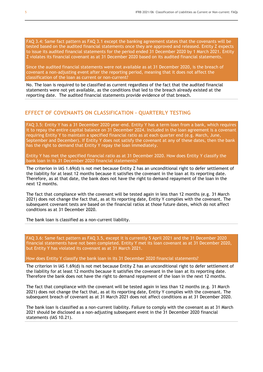FAQ 3.4: Same fact pattern as FAQ 3.1 except the banking agreement states that the covenants will be tested based on the audited financial statements once they are approved and released. Entity Z expects to issue its audited financial statements for the period ended 31 December 2020 by 1 March 2021. Entity Z violates its financial covenant as at 31 December 2020 based on its audited financial statements.

Since the audited financial statements were not available as at 31 December 2020, is the breach of covenant a non-adjusting event after the reporting period, meaning that it does not affect the classification of the loan as current or non-current?

No. The loan is required to be classified as current regardless of the fact that the audited financial statements were not yet available, as the conditions that led to the breach already existed at the reporting date. The audited financial statements provide evidence of that breach.

### **EFFECT OF COVENANTS ON CLASSIFICATION – QUARTERLY TESTING**

FAQ 3.5: Entity Y has a 31 December 2020 year-end. Entity Y has a term loan from a bank, which requires it to repay the entire capital balance on 31 December 2024. Included in the loan agreement is a covenant requiring Entity Y to maintain a specified financial ratio as at each quarter end (e.g. March, June, September and December). If Entity Y does not satisfy the covenant at any of these dates, then the bank has the right to demand that Entity Y repay the loan immediately.

Entity Y has met the specified financial ratio as at 31 December 2020. How does Entity Y classify the bank loan in its 31 December 2020 financial statements?

The criterion in IAS 1.69(d) is not met because Entity Z has an unconditional right to defer settlement of the liability for at least 12 months because it satisfies the covenant in the loan at its reporting date. Therefore, as at that date, the bank does not have the right to demand repayment of the loan in the next 12 months.

The fact that compliance with the covenant will be tested again in less than 12 months (e.g. 31 March 2021) does not change the fact that, as at its reporting date, Entity Y complies with the covenant. The subsequent covenant tests are based on the financial ratios at those future dates, which do not affect conditions as at 31 December 2020.

The bank loan is classified as a non-current liability.

FAQ 3.6: Same fact pattern as FAQ 3.5, except it is currently 5 April 2021 and the 31 December 2020 financial statements have not been completed. Entity Y met its loan covenant as at 31 December 2020, but Entity Y has violated its covenant as at 31 March 2021.

How does Entity Y classify the bank loan in its 31 December 2020 financial statements?

The criterion in IAS 1.69(d) is not met because Entity Z has an unconditional right to defer settlement of the liability for at least 12 months because it satisfies the covenant in the loan at its reporting date. Therefore the bank does not have the right to demand repayment of the loan in the next 12 months.

The fact that compliance with the covenant will be tested again in less than 12 months (e.g. 31 March 2021) does not change the fact that, as at its reporting date, Entity Y complies with the covenant. The subsequent breach of covenant as at 31 March 2021 does not affect conditions as at 31 December 2020.

The bank loan is classified as a non-current liability. Failure to comply with the covenant as at 31 March 2021 should be disclosed as a non-adjusting subsequent event in the 31 December 2020 financial statements (IAS 10.21).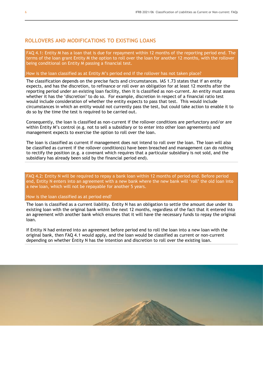## **ROLLOVERS AND MODIFICATIONS TO EXISTING LOANS**

FAQ 4.1: Entity M has a loan that is due for repayment within 12 months of the reporting period end. The terms of the loan grant Entity M the option to roll over the loan for another 12 months, with the rollover being conditional on Entity M passing a financial test.

#### How is the loan classified as at Entity M's period end if the rollover has not taken place?

The classification depends on the precise facts and circumstances. IAS 1.73 states that if an entity expects, and has the discretion, to refinance or roll over an obligation for at least 12 months after the reporting period under an existing loan facility, then it is classified as non-current. An entity must assess whether it has the 'discretion' to do so. For example, discretion in respect of a financial ratio test would include consideration of whether the entity expects to pass that test. This would include circumstances in which an entity would not currently pass the test, but could take action to enable it to do so by the time the test is required to be carried out.

Consequently, the loan is classified as non-current if the rollover conditions are perfunctory and/or are within Entity M's control (e.g. not to sell a subsidiary or to enter into other loan agreements) and management expects to exercise the option to roll over the loan.

The loan is classified as current if management does not intend to roll over the loan. The loan will also be classified as current if the rollover condition(s) have been breached and management can do nothing to rectify the position (e.g. a covenant which requires that a particular subsidiary is not sold, and the subsidiary has already been sold by the financial period end).

FAQ 4.2: Entity N will be required to repay a bank loan within 12 months of period end. Before period end, Entity N enters into an agreement with a new bank where the new bank will 'roll' the old loan into a new loan, which will not be repayable for another 5 years.

How is the loan classified as at period end?

The loan is classified as a current liability. Entity N has an obligation to settle the amount due under its existing loan with the original bank within the next 12 months, regardless of the fact that it entered into an agreement with another bank which ensures that it will have the necessary funds to repay the original loan.

If Entity N had entered into an agreement before period end to roll the loan into a new loan with the original bank, then FAQ 4.1 would apply, and the loan would be classified as current or non-current depending on whether Entity N has the intention and discretion to roll over the existing loan.

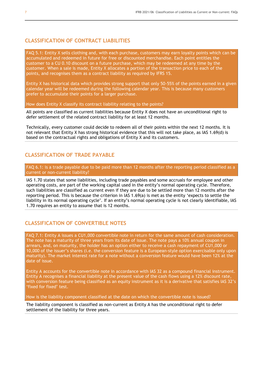## **CLASSIFICATION OF CONTRACT LIABILITIES**

FAQ 5.1: Entity X sells clothing and, with each purchase, customers may earn loyalty points which can be accumulated and redeemed in future for free or discounted merchandise. Each point entitles the customer to a CU 0.10 discount on a future purchase, which may be redeemed at any time by the customer. When a sale is made, Entity X allocates a portion of the transaction price to each of the points, and recognises them as a contract liability as required by IFRS 15.

Entity X has historical data which provides strong support that only 50-55% of the points earned in a given calendar year will be redeemed during the following calendar year. This is because many customers prefer to accumulate their points for a larger purchase.

How does Entity X classify its contract liability relating to the points?

All points are classified as current liabilities because Entity X does not have an unconditional right to defer settlement of the related contract liability for at least 12 months.

Technically, every customer could decide to redeem all of their points within the next 12 months. It is not relevant that Entity X has strong historical evidence that this will not take place, as IAS 1.69(d) is based on the contractual rights and obligations of Entity X and its customers.

## **CLASSIFICATION OF TRADE PAYABLE**

FAQ 6.1: is a trade payable due to be paid more than 12 months after the reporting period classified as a current or non-current liability?

IAS 1.70 states that some liabilities, including trade payables and some accruals for employee and other operating costs, are part of the working capital used in the entity's normal operating cycle. Therefore, such liabilities are classified as current even if they are due to be settled more than 12 months after the reporting period. This is because the criterion in IAS 1.69(a) is met as the entity 'expects to settle the liability in its normal operating cycle'. If an entity's normal operating cycle is not clearly identifiable, IAS 1.70 requires an entity to assume that is 12 months.

## **CLASSIFICATION OF CONVERTIBLE NOTES**

FAQ 7.1: Entity A issues a CU1,000 convertible note in return for the same amount of cash consideration. The note has a maturity of three years from its date of issue. The note pays a 10% annual coupon in arrears, and, on maturity, the holder has an option either to receive a cash repayment of CU1,000 or 10,000 of the issuer's shares (i.e. the conversion feature is a European-style option exercisable only upon maturity). The market interest rate for a note without a conversion feature would have been 12% at the date of issue.

Entity A accounts for the convertible note in accordance with IAS 32 as a compound financial instrument. Entity A recognises a financial liability at the present value of the cash flows using a 12% discount rate, with conversion feature being classified as an equity instrument as it is a derivative that satisfies IAS 32's 'fixed for fixed' test.

How is the liability component classified at the date on which the convertible note is issued?

The liability component is classified as non-current as Entity A has the unconditional right to defer settlement of the liability for three years.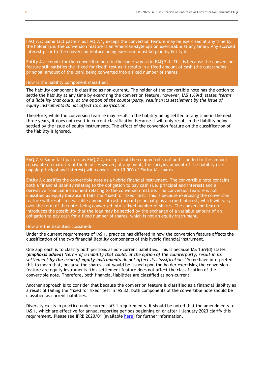FAQ 7.2: Same fact pattern as FAQ 7.1, except the conversion feature may be exercised at any time by the holder (i.e. the conversion feature is an American-style option exercisable at any time). Any accrued interest prior to the conversion feature being exercised must be paid by Entity A.

Entity A accounts for the convertible note in the same way as in FAQ 7.1. This is because the conversion feature still satisfies the 'fixed for fixed' test as it results in a fixed amount of cash (the outstanding principal amount of the loan) being converted into a fixed number of shares.

#### How is the liability component classified?

The liability component is classified as non-current. The holder of the convertible note has the option to settle the liability at any time by exercising the conversion feature, however, IAS 1.69(d) states *'terms of a liability that could, at the option of the counterparty, result in its settlement by the issue of equity instruments do not affect its classification.'*

Therefore, while the conversion feature may result in the liability being settled at any time in the next three years, it does not result in current classification because it will only result in the liability being settled by the issue of equity instruments. The effect of the conversion feature on the classification of the liability is ignored.

FAQ 7.3: Same fact pattern as FAQ 7.2, except that the coupon 'rolls up' and is added to the amount repayable on maturity of the loan. However, at any point, the carrying amount of the liability (i.e. unpaid principal and interest) will convert into 10,000 of Entity A's shares.

Entity A classifies the convertible note as a hybrid financial instrument. The convertible note contains both a financial liability relating to the obligation to pay cash (i.e. principal and interest) and a derivative financial instrument relating to the conversion feature. The conversion feature is not classified as equity because it fails the 'fixed for fixed' test. This is because exercising the conversion feature will result in a variable amount of cash (unpaid principal plus accrued interest, which will vary over the term of the note) being converted into a fixed number of shares. The conversion feature introduces the possibility that the loan may be settled by the exchange of a variable amount of an obligation to pay cash for a fixed number of shares, which is not an equity instrument.

#### How are the liabilities classified?

Under the current requirements of IAS 1, practice has differed in how the conversion feature affects the classification of the two financial liability components of this hybrid financial instrument.

One approach is to classify both portions as non-current liabilities. This is because IAS 1.69(d) states (*emphasis added*) *'terms of a liability that could, at the option of the counterparty, result in its settlement by the issue of equity instruments do not affect its classification.'* Some have interpreted this to mean that, because the shares that would be issued upon the holder exercising the conversion feature are equity instruments, this settlement feature does not affect the classification of the convertible note. Therefore, both financial liabilities are classified as non-current.

Another approach is to consider that because the conversion feature is classified as a financial liability as a result of failing the 'fixed for fixed' test in IAS 32, both components of the convertible note should be classified as current liabilities.

Diversity exists in practice under current IAS 1 requirements. It should be noted that the amendments to IAS 1, which are effective for annual reporting periods beginning on or after 1 January 2023 clarify this requirement. Please see IFRB 2020/01 (available [here\)](https://www.bdo.global/en-gb/microsites/ifrs/resource-library?category=IFRbulletins&tag=all&accounting=all) for further information.